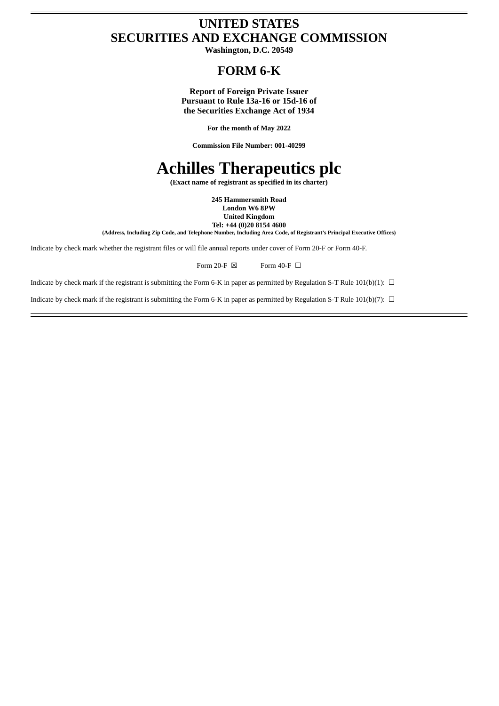# **UNITED STATES SECURITIES AND EXCHANGE COMMISSION**

**Washington, D.C. 20549**

## **FORM 6-K**

**Report of Foreign Private Issuer Pursuant to Rule 13a-16 or 15d-16 of the Securities Exchange Act of 1934**

**For the month of May 2022**

**Commission File Number: 001-40299**

# **Achilles Therapeutics plc**

**(Exact name of registrant as specified in its charter)**

**245 Hammersmith Road London W6 8PW United Kingdom Tel: +44 (0)20 8154 4600**

**(Address, Including Zip Code, and Telephone Number, Including Area Code, of Registrant's Principal Executive Offices)**

Indicate by check mark whether the registrant files or will file annual reports under cover of Form 20-F or Form 40-F.

Form 20-F  $\boxtimes$  Form 40-F  $\Box$ 

Indicate by check mark if the registrant is submitting the Form 6-K in paper as permitted by Regulation S-T Rule 101(b)(1):  $\Box$ 

Indicate by check mark if the registrant is submitting the Form 6-K in paper as permitted by Regulation S-T Rule 101(b)(7):  $\Box$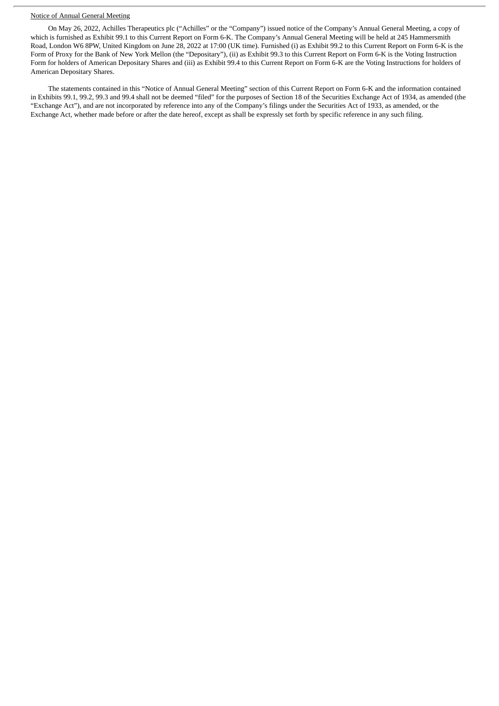## Notice of Annual General Meeting

On May 26, 2022, Achilles Therapeutics plc ("Achilles" or the "Company") issued notice of the Company's Annual General Meeting, a copy of which is furnished as Exhibit 99.1 to this Current Report on Form 6-K. The Company's Annual General Meeting will be held at 245 Hammersmith Road, London W6 8PW, United Kingdom on June 28, 2022 at 17:00 (UK time). Furnished (i) as Exhibit 99.2 to this Current Report on Form 6-K is the Form of Proxy for the Bank of New York Mellon (the "Depositary"), (ii) as Exhibit 99.3 to this Current Report on Form 6-K is the Voting Instruction Form for holders of American Depositary Shares and (iii) as Exhibit 99.4 to this Current Report on Form 6-K are the Voting Instructions for holders of American Depositary Shares.

The statements contained in this "Notice of Annual General Meeting" section of this Current Report on Form 6-K and the information contained in Exhibits 99.1, 99.2, 99.3 and 99.4 shall not be deemed "filed" for the purposes of Section 18 of the Securities Exchange Act of 1934, as amended (the "Exchange Act"), and are not incorporated by reference into any of the Company's filings under the Securities Act of 1933, as amended, or the Exchange Act, whether made before or after the date hereof, except as shall be expressly set forth by specific reference in any such filing.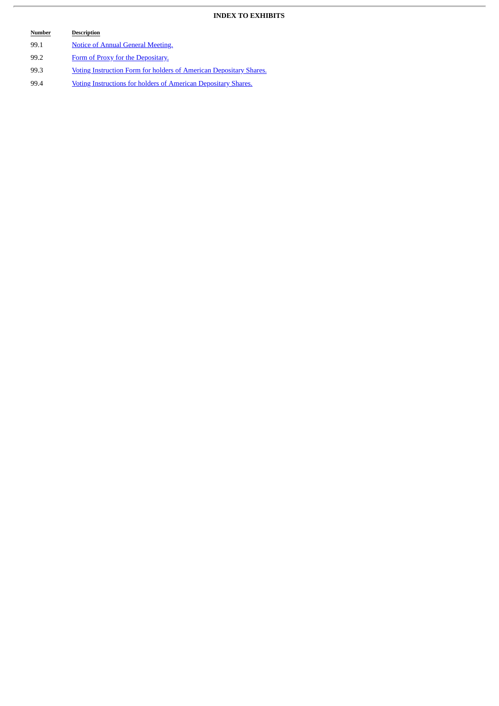## **INDEX TO EXHIBITS**

 $\overline{a}$ 

| Number | <b>Description</b>                                                    |
|--------|-----------------------------------------------------------------------|
| 99.1   | Notice of Annual General Meeting.                                     |
| 99.2   | Form of Proxy for the Depositary.                                     |
| 99.3   | Voting Instruction Form for holders of American Depositary Shares.    |
| 99.4   | <b>Voting Instructions for holders of American Depositary Shares.</b> |

 $\overline{a}$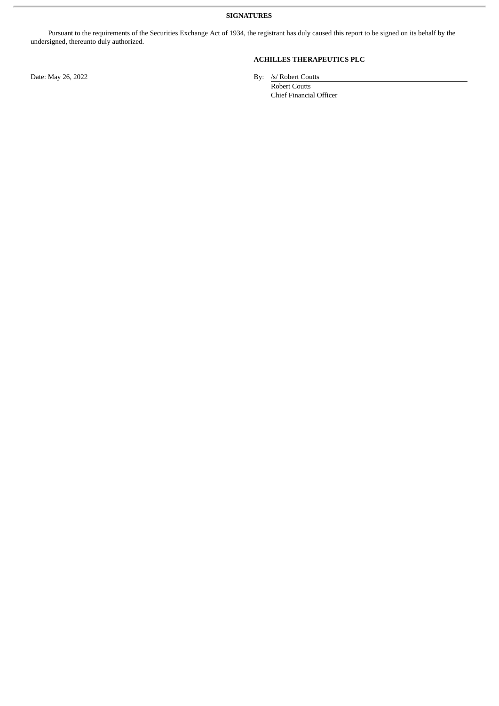**SIGNATURES**

Pursuant to the requirements of the Securities Exchange Act of 1934, the registrant has duly caused this report to be signed on its behalf by the undersigned, thereunto duly authorized.

**ACHILLES THERAPEUTICS PLC**

Date: May 26, 2022 By: /s/ Robert Coutts

Robert Coutts Chief Financial Officer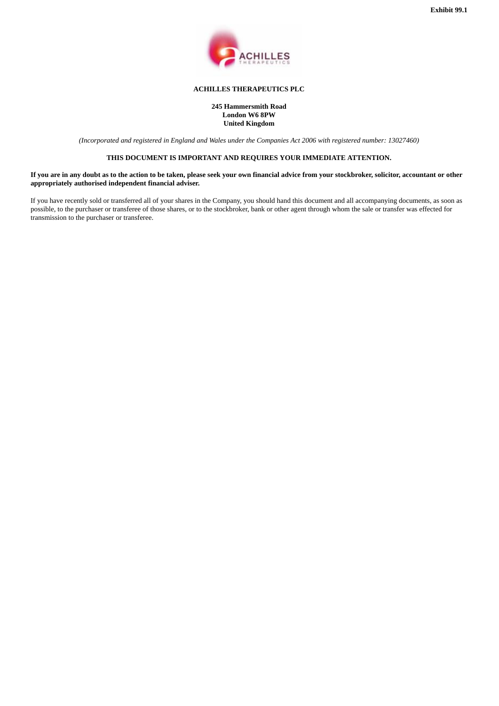

## **ACHILLES THERAPEUTICS PLC**

## **245 Hammersmith Road London W6 8PW United Kingdom**

<span id="page-4-0"></span>*(Incorporated and registered in England and Wales under the Companies Act 2006 with registered number: 13027460)*

## **THIS DOCUMENT IS IMPORTANT AND REQUIRES YOUR IMMEDIATE ATTENTION.**

If you are in any doubt as to the action to be taken, please seek your own financial advice from your stockbroker, solicitor, accountant or other **appropriately authorised independent financial adviser.**

If you have recently sold or transferred all of your shares in the Company, you should hand this document and all accompanying documents, as soon as possible, to the purchaser or transferee of those shares, or to the stockbroker, bank or other agent through whom the sale or transfer was effected for transmission to the purchaser or transferee.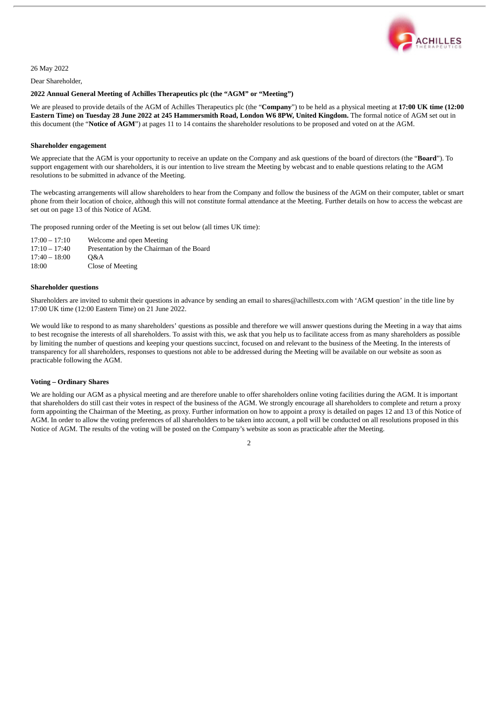

26 May 2022

Dear Shareholder,

## **2022 Annual General Meeting of Achilles Therapeutics plc (the "AGM" or "Meeting")**

We are pleased to provide details of the AGM of Achilles Therapeutics plc (the "**Company**") to be held as a physical meeting at **17:00 UK time (12:00** Eastern Time) on Tuesday 28 June 2022 at 245 Hammersmith Road, London W6 8PW, United Kingdom. The formal notice of AGM set out in this document (the "**Notice of AGM**") at pages 11 to 14 contains the shareholder resolutions to be proposed and voted on at the AGM.

#### **Shareholder engagement**

We appreciate that the AGM is your opportunity to receive an update on the Company and ask questions of the board of directors (the "**Board**"). To support engagement with our shareholders, it is our intention to live stream the Meeting by webcast and to enable questions relating to the AGM resolutions to be submitted in advance of the Meeting.

The webcasting arrangements will allow shareholders to hear from the Company and follow the business of the AGM on their computer, tablet or smart phone from their location of choice, although this will not constitute formal attendance at the Meeting. Further details on how to access the webcast are set out on page 13 of this Notice of AGM.

The proposed running order of the Meeting is set out below (all times UK time):

| $17:00 - 17:10$ | Welcome and open Meeting                  |
|-----------------|-------------------------------------------|
| $17:10 - 17:40$ | Presentation by the Chairman of the Board |
| $17:40 - 18:00$ | O&A                                       |
| 18:00           | Close of Meeting                          |

#### **Shareholder questions**

Shareholders are invited to submit their questions in advance by sending an email to shares@achillestx.com with 'AGM question' in the title line by 17:00 UK time (12:00 Eastern Time) on 21 June 2022.

We would like to respond to as many shareholders' questions as possible and therefore we will answer questions during the Meeting in a way that aims to best recognise the interests of all shareholders. To assist with this, we ask that you help us to facilitate access from as many shareholders as possible by limiting the number of questions and keeping your questions succinct, focused on and relevant to the business of the Meeting. In the interests of transparency for all shareholders, responses to questions not able to be addressed during the Meeting will be available on our website as soon as practicable following the AGM.

## **Voting – Ordinary Shares**

We are holding our AGM as a physical meeting and are therefore unable to offer shareholders online voting facilities during the AGM. It is important that shareholders do still cast their votes in respect of the business of the AGM. We strongly encourage all shareholders to complete and return a proxy form appointing the Chairman of the Meeting, as proxy. Further information on how to appoint a proxy is detailed on pages 12 and 13 of this Notice of AGM. In order to allow the voting preferences of all shareholders to be taken into account, a poll will be conducted on all resolutions proposed in this Notice of AGM. The results of the voting will be posted on the Company's website as soon as practicable after the Meeting.

 $\overline{2}$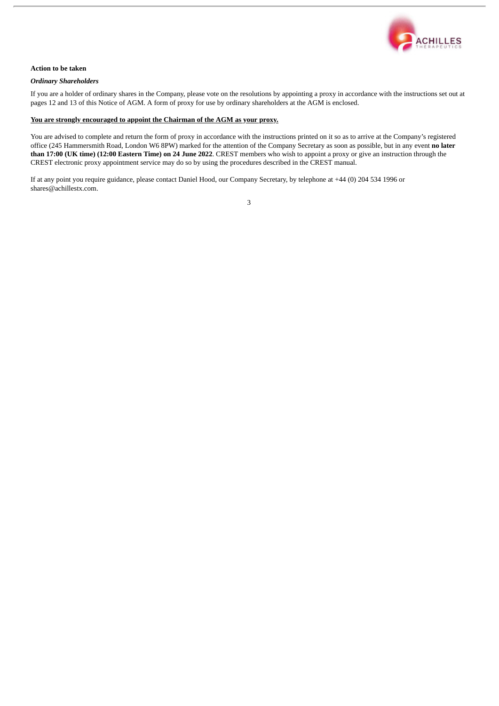

#### **Action to be taken**

#### *Ordinary Shareholders*

If you are a holder of ordinary shares in the Company, please vote on the resolutions by appointing a proxy in accordance with the instructions set out at pages 12 and 13 of this Notice of AGM. A form of proxy for use by ordinary shareholders at the AGM is enclosed.

### **You are strongly encouraged to appoint the Chairman of the AGM as your proxy.**

You are advised to complete and return the form of proxy in accordance with the instructions printed on it so as to arrive at the Company's registered office (245 Hammersmith Road, London W6 8PW) marked for the attention of the Company Secretary as soon as possible, but in any event **no later than 17:00 (UK time) (12:00 Eastern Time) on 24 June 2022**. CREST members who wish to appoint a proxy or give an instruction through the CREST electronic proxy appointment service may do so by using the procedures described in the CREST manual.

If at any point you require guidance, please contact Daniel Hood, our Company Secretary, by telephone at +44 (0) 204 534 1996 or shares@achillestx.com.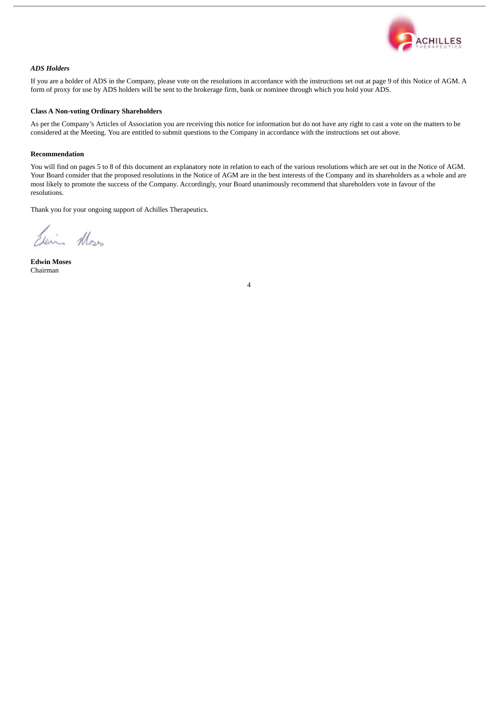

## *ADS Holders*

If you are a holder of ADS in the Company, please vote on the resolutions in accordance with the instructions set out at page 9 of this Notice of AGM. A form of proxy for use by ADS holders will be sent to the brokerage firm, bank or nominee through which you hold your ADS.

## **Class A Non-voting Ordinary Shareholders**

As per the Company's Articles of Association you are receiving this notice for information but do not have any right to cast a vote on the matters to be considered at the Meeting. You are entitled to submit questions to the Company in accordance with the instructions set out above.

#### **Recommendation**

You will find on pages 5 to 8 of this document an explanatory note in relation to each of the various resolutions which are set out in the Notice of AGM. Your Board consider that the proposed resolutions in the Notice of AGM are in the best interests of the Company and its shareholders as a whole and are most likely to promote the success of the Company. Accordingly, your Board unanimously recommend that shareholders vote in favour of the resolutions.

4

Thank you for your ongoing support of Achilles Therapeutics.

Elini Moss

**Edwin Moses** Chairman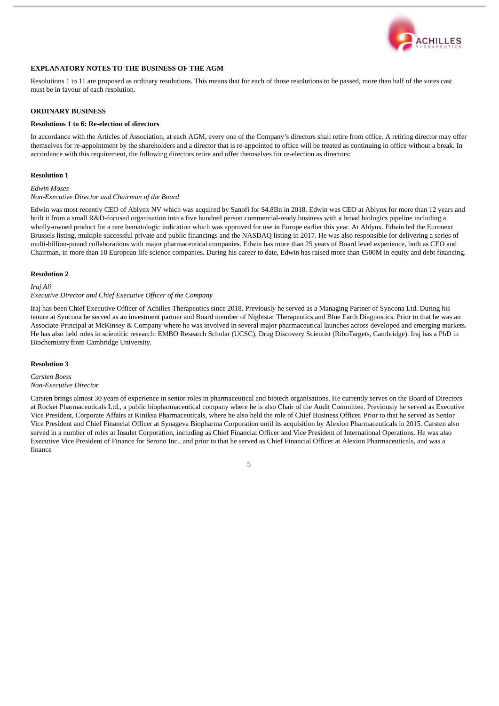

## **EXPLANATORY NOTES TO THE BUSINESS OF THE AGM**

Resolutions 1 to 11 are proposed as ordinary resolutions. This means that for each of those resolutions to be passed, more than half of the votes cast must be in favour of each resolution.

#### **ORDINARY BUSINESS**

#### **Resolutions 1 to 6: Re-election of directors**

In accordance with the Articles of Association, at each AGM, every one of the Company's directors shall retire from office. A retiring director may offer themselves for re-appointment by the shareholders and a director that is re-appointed to office will be treated as continuing in office without a break. In accordance with this requirement, the following directors retire and offer themselves for re-election as directors:

#### **Resolution 1**

*Edwin Moses*

*Non-Executive Director and Chairman of the Board*

Edwin was most recently CEO of Ablynx NV which was acquired by Sanofi for \$4.8Bn in 2018. Edwin was CEO at Ablynx for more than 12 years and built it from a small R&D-focused organisation into a five hundred person commercial-ready business with a broad biologics pipeline including a wholly-owned product for a rare hematologic indication which was approved for use in Europe earlier this year. At Ablynx, Edwin led the Euronext Brussels listing, multiple successful private and public financings and the NASDAQ listing in 2017. He was also responsible for delivering a series of multi-billion-pound collaborations with major pharmaceutical companies. Edwin has more than 25 years of Board level experience, both as CEO and Chairman, in more than 10 European life science companies. During his career to date, Edwin has raised more than €500M in equity and debt financing.

#### **Resolution 2**

*Iraj Ali*

#### *Executive Director and Chief Executive Officer of the Company*

Iraj has been Chief Executive Officer of Achilles Therapeutics since 2018. Previously he served as a Managing Partner of Syncona Ltd. During his tenure at Syncona he served as an investment partner and Board member of Nightstar Therapeutics and Blue Earth Diagnostics. Prior to that he was an Associate-Principal at McKinsey & Company where he was involved in several major pharmaceutical launches across developed and emerging markets. He has also held roles in scientific research: EMBO Research Scholar (UCSC), Drug Discovery Scientist (RiboTargets, Cambridge). Iraj has a PhD in Biochemistry from Cambridge University.

#### **Resolution 3**

*Carsten Boess Non-Executive Director*

Carsten brings almost 30 years of experience in senior roles in pharmaceutical and biotech organisations. He currently serves on the Board of Directors at Rocket Pharmaceuticals Ltd., a public biopharmaceutical company where he is also Chair of the Audit Committee. Previously he served as Executive Vice President, Corporate Affairs at Kiniksa Pharmaceuticals, where he also held the role of Chief Business Officer. Prior to that he served as Senior Vice President and Chief Financial Officer at Synageva Biopharma Corporation until its acquisition by Alexion Pharmaceuticals in 2015. Carsten also served in a number of roles at Insulet Corporation, including as Chief Financial Officer and Vice President of International Operations. He was also Executive Vice President of Finance for Serono Inc., and prior to that he served as Chief Financial Officer at Alexion Pharmaceuticals, and was a finance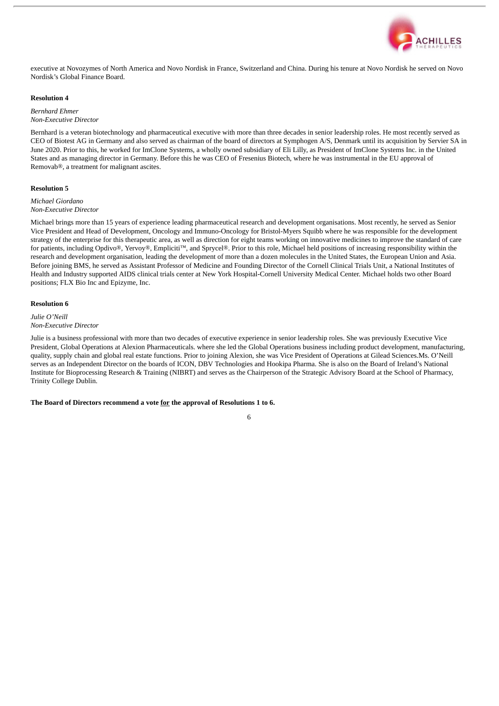

executive at Novozymes of North America and Novo Nordisk in France, Switzerland and China. During his tenure at Novo Nordisk he served on Novo Nordisk's Global Finance Board.

#### **Resolution 4**

*Bernhard Ehmer Non-Executive Director*

Bernhard is a veteran biotechnology and pharmaceutical executive with more than three decades in senior leadership roles. He most recently served as CEO of Biotest AG in Germany and also served as chairman of the board of directors at Symphogen A/S, Denmark until its acquisition by Servier SA in June 2020. Prior to this, he worked for ImClone Systems, a wholly owned subsidiary of Eli Lilly, as President of ImClone Systems Inc. in the United States and as managing director in Germany. Before this he was CEO of Fresenius Biotech, where he was instrumental in the EU approval of Removab®, a treatment for malignant ascites.

#### **Resolution 5**

*Michael Giordano Non-Executive Director*

Michael brings more than 15 years of experience leading pharmaceutical research and development organisations. Most recently, he served as Senior Vice President and Head of Development, Oncology and Immuno-Oncology for Bristol-Myers Squibb where he was responsible for the development strategy of the enterprise for this therapeutic area, as well as direction for eight teams working on innovative medicines to improve the standard of care for patients, including Opdivo®, Yervoy®, Empliciti™, and Sprycel®. Prior to this role, Michael held positions of increasing responsibility within the research and development organisation, leading the development of more than a dozen molecules in the United States, the European Union and Asia. Before joining BMS, he served as Assistant Professor of Medicine and Founding Director of the Cornell Clinical Trials Unit, a National Institutes of Health and Industry supported AIDS clinical trials center at New York Hospital-Cornell University Medical Center. Michael holds two other Board positions; FLX Bio Inc and Epizyme, Inc.

#### **Resolution 6**

*Julie O'Neill Non-Executive Director*

Julie is a business professional with more than two decades of executive experience in senior leadership roles. She was previously Executive Vice President, Global Operations at Alexion Pharmaceuticals. where she led the Global Operations business including product development, manufacturing, quality, supply chain and global real estate functions. Prior to joining Alexion, she was Vice President of Operations at Gilead Sciences.Ms. O'Neill serves as an Independent Director on the boards of ICON, DBV Technologies and Hookipa Pharma. She is also on the Board of Ireland's National Institute for Bioprocessing Research & Training (NIBRT) and serves as the Chairperson of the Strategic Advisory Board at the School of Pharmacy, Trinity College Dublin.

#### **The Board of Directors recommend a vote for the approval of Resolutions 1 to 6.**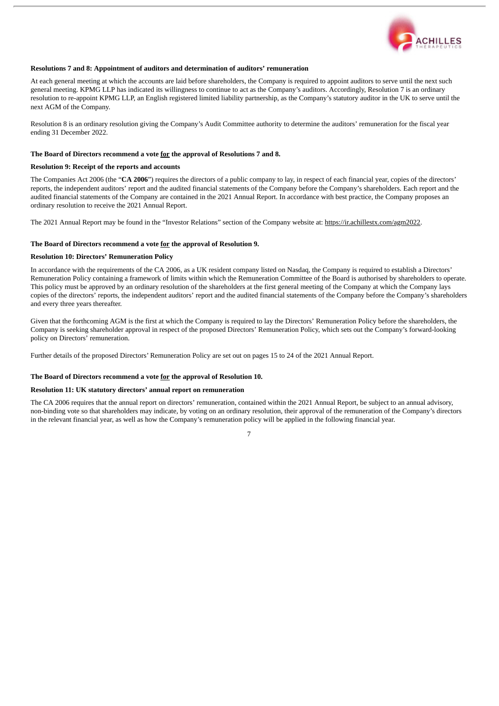

## **Resolutions 7 and 8: Appointment of auditors and determination of auditors' remuneration**

At each general meeting at which the accounts are laid before shareholders, the Company is required to appoint auditors to serve until the next such general meeting. KPMG LLP has indicated its willingness to continue to act as the Company's auditors. Accordingly, Resolution 7 is an ordinary resolution to re-appoint KPMG LLP, an English registered limited liability partnership, as the Company's statutory auditor in the UK to serve until the next AGM of the Company.

Resolution 8 is an ordinary resolution giving the Company's Audit Committee authority to determine the auditors' remuneration for the fiscal year ending 31 December 2022.

#### **The Board of Directors recommend a vote for the approval of Resolutions 7 and 8.**

#### **Resolution 9: Receipt of the reports and accounts**

The Companies Act 2006 (the "**CA 2006**") requires the directors of a public company to lay, in respect of each financial year, copies of the directors' reports, the independent auditors' report and the audited financial statements of the Company before the Company's shareholders. Each report and the audited financial statements of the Company are contained in the 2021 Annual Report. In accordance with best practice, the Company proposes an ordinary resolution to receive the 2021 Annual Report.

The 2021 Annual Report may be found in the "Investor Relations" section of the Company website at: https://ir.achillestx.com/agm2022.

#### **The Board of Directors recommend a vote for the approval of Resolution 9.**

#### **Resolution 10: Directors' Remuneration Policy**

In accordance with the requirements of the CA 2006, as a UK resident company listed on Nasdaq, the Company is required to establish a Directors' Remuneration Policy containing a framework of limits within which the Remuneration Committee of the Board is authorised by shareholders to operate. This policy must be approved by an ordinary resolution of the shareholders at the first general meeting of the Company at which the Company lays copies of the directors' reports, the independent auditors' report and the audited financial statements of the Company before the Company's shareholders and every three years thereafter.

Given that the forthcoming AGM is the first at which the Company is required to lay the Directors' Remuneration Policy before the shareholders, the Company is seeking shareholder approval in respect of the proposed Directors' Remuneration Policy, which sets out the Company's forward-looking policy on Directors' remuneration.

Further details of the proposed Directors' Remuneration Policy are set out on pages 15 to 24 of the 2021 Annual Report.

#### **The Board of Directors recommend a vote for the approval of Resolution 10.**

#### **Resolution 11: UK statutory directors' annual report on remuneration**

The CA 2006 requires that the annual report on directors' remuneration, contained within the 2021 Annual Report, be subject to an annual advisory, non-binding vote so that shareholders may indicate, by voting on an ordinary resolution, their approval of the remuneration of the Company's directors in the relevant financial year, as well as how the Company's remuneration policy will be applied in the following financial year.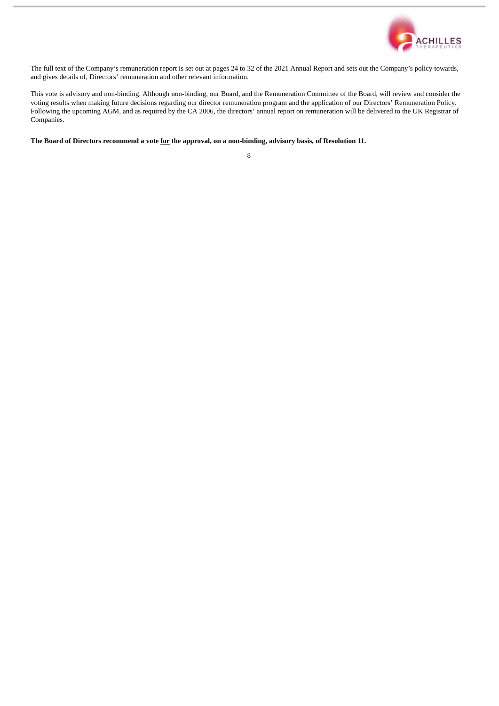

The full text of the Company's remuneration report is set out at pages 24 to 32 of the 2021 Annual Report and sets out the Company's policy towards, and gives details of, Directors' remuneration and other relevant information.

This vote is advisory and non-binding. Although non-binding, our Board, and the Remuneration Committee of the Board, will review and consider the voting results when making future decisions regarding our director remuneration program and the application of our Directors' Remuneration Policy. Following the upcoming AGM, and as required by the CA 2006, the directors' annual report on remuneration will be delivered to the UK Registrar of Companies.

The Board of Directors recommend a vote for the approval, on a non-binding, advisory basis, of Resolution 11.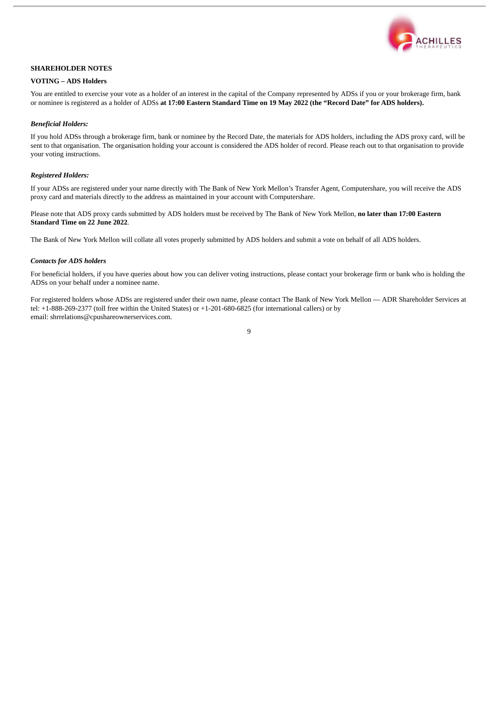

## **SHAREHOLDER NOTES**

## **VOTING – ADS Holders**

You are entitled to exercise your vote as a holder of an interest in the capital of the Company represented by ADSs if you or your brokerage firm, bank or nominee is registered as a holder of ADSs at 17:00 Eastern Standard Time on 19 May 2022 (the "Record Date" for ADS holders).

#### *Beneficial Holders:*

If you hold ADSs through a brokerage firm, bank or nominee by the Record Date, the materials for ADS holders, including the ADS proxy card, will be sent to that organisation. The organisation holding your account is considered the ADS holder of record. Please reach out to that organisation to provide your voting instructions.

#### *Registered Holders:*

If your ADSs are registered under your name directly with The Bank of New York Mellon's Transfer Agent, Computershare, you will receive the ADS proxy card and materials directly to the address as maintained in your account with Computershare.

Please note that ADS proxy cards submitted by ADS holders must be received by The Bank of New York Mellon, **no later than 17:00 Eastern Standard Time on 22 June 2022**.

The Bank of New York Mellon will collate all votes properly submitted by ADS holders and submit a vote on behalf of all ADS holders.

## *Contacts for ADS holders*

For beneficial holders, if you have queries about how you can deliver voting instructions, please contact your brokerage firm or bank who is holding the ADSs on your behalf under a nominee name.

For registered holders whose ADSs are registered under their own name, please contact The Bank of New York Mellon — ADR Shareholder Services at tel: +1-888-269-2377 (toll free within the United States) or +1-201-680-6825 (for international callers) or by email: shrrelations@cpushareownerservices.com.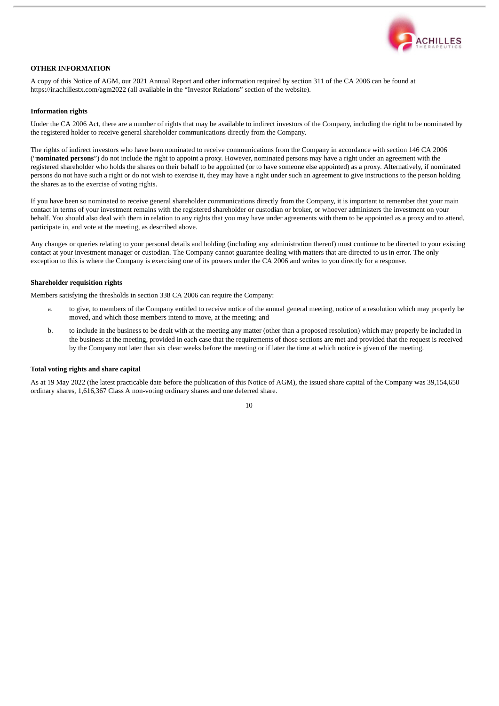

## **OTHER INFORMATION**

A copy of this Notice of AGM, our 2021 Annual Report and other information required by section 311 of the CA 2006 can be found at https://ir.achillestx.com/agm2022 (all available in the "Investor Relations" section of the website).

#### **Information rights**

Under the CA 2006 Act, there are a number of rights that may be available to indirect investors of the Company, including the right to be nominated by the registered holder to receive general shareholder communications directly from the Company.

The rights of indirect investors who have been nominated to receive communications from the Company in accordance with section 146 CA 2006 ("**nominated persons**") do not include the right to appoint a proxy. However, nominated persons may have a right under an agreement with the registered shareholder who holds the shares on their behalf to be appointed (or to have someone else appointed) as a proxy. Alternatively, if nominated persons do not have such a right or do not wish to exercise it, they may have a right under such an agreement to give instructions to the person holding the shares as to the exercise of voting rights.

If you have been so nominated to receive general shareholder communications directly from the Company, it is important to remember that your main contact in terms of your investment remains with the registered shareholder or custodian or broker, or whoever administers the investment on your behalf. You should also deal with them in relation to any rights that you may have under agreements with them to be appointed as a proxy and to attend, participate in, and vote at the meeting, as described above.

Any changes or queries relating to your personal details and holding (including any administration thereof) must continue to be directed to your existing contact at your investment manager or custodian. The Company cannot guarantee dealing with matters that are directed to us in error. The only exception to this is where the Company is exercising one of its powers under the CA 2006 and writes to you directly for a response.

## **Shareholder requisition rights**

Members satisfying the thresholds in section 338 CA 2006 can require the Company:

- a. to give, to members of the Company entitled to receive notice of the annual general meeting, notice of a resolution which may properly be moved, and which those members intend to move, at the meeting; and
- b. to include in the business to be dealt with at the meeting any matter (other than a proposed resolution) which may properly be included in the business at the meeting, provided in each case that the requirements of those sections are met and provided that the request is received by the Company not later than six clear weeks before the meeting or if later the time at which notice is given of the meeting.

#### **Total voting rights and share capital**

As at 19 May 2022 (the latest practicable date before the publication of this Notice of AGM), the issued share capital of the Company was 39,154,650 ordinary shares, 1,616,367 Class A non-voting ordinary shares and one deferred share.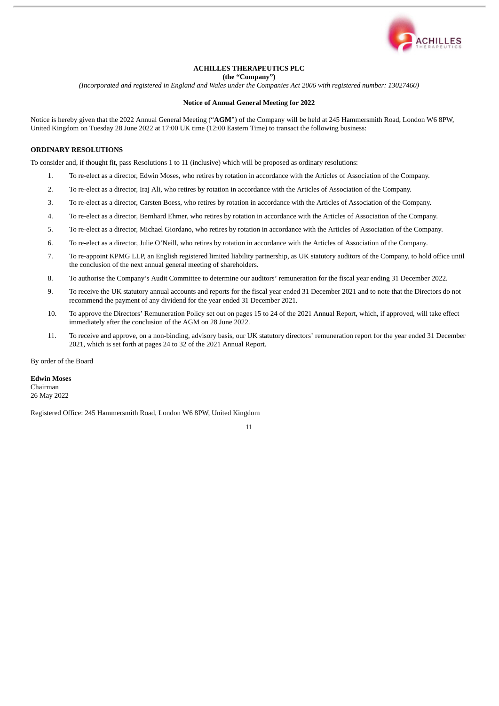

## **ACHILLES THERAPEUTICS PLC**

**(the "Company")**

*(Incorporated and registered in England and Wales under the Companies Act 2006 with registered number: 13027460)*

#### **Notice of Annual General Meeting for 2022**

Notice is hereby given that the 2022 Annual General Meeting ("**AGM**") of the Company will be held at 245 Hammersmith Road, London W6 8PW, United Kingdom on Tuesday 28 June 2022 at 17:00 UK time (12:00 Eastern Time) to transact the following business:

## **ORDINARY RESOLUTIONS**

To consider and, if thought fit, pass Resolutions 1 to 11 (inclusive) which will be proposed as ordinary resolutions:

- 1. To re-elect as a director, Edwin Moses, who retires by rotation in accordance with the Articles of Association of the Company.
- 2. To re-elect as a director, Iraj Ali, who retires by rotation in accordance with the Articles of Association of the Company.
- 3. To re-elect as a director, Carsten Boess, who retires by rotation in accordance with the Articles of Association of the Company.
- 4. To re-elect as a director, Bernhard Ehmer, who retires by rotation in accordance with the Articles of Association of the Company.
- 5. To re-elect as a director, Michael Giordano, who retires by rotation in accordance with the Articles of Association of the Company.
- 6. To re-elect as a director, Julie O'Neill, who retires by rotation in accordance with the Articles of Association of the Company.
- 7. To re-appoint KPMG LLP, an English registered limited liability partnership, as UK statutory auditors of the Company, to hold office until the conclusion of the next annual general meeting of shareholders.
- 8. To authorise the Company's Audit Committee to determine our auditors' remuneration for the fiscal year ending 31 December 2022.
- 9. To receive the UK statutory annual accounts and reports for the fiscal year ended 31 December 2021 and to note that the Directors do not recommend the payment of any dividend for the year ended 31 December 2021.
- 10. To approve the Directors' Remuneration Policy set out on pages 15 to 24 of the 2021 Annual Report, which, if approved, will take effect immediately after the conclusion of the AGM on 28 June 2022.
- 11. To receive and approve, on a non-binding, advisory basis, our UK statutory directors' remuneration report for the year ended 31 December 2021, which is set forth at pages 24 to 32 of the 2021 Annual Report.

By order of the Board

**Edwin Moses**

Chairman 26 May 2022

Registered Office: 245 Hammersmith Road, London W6 8PW, United Kingdom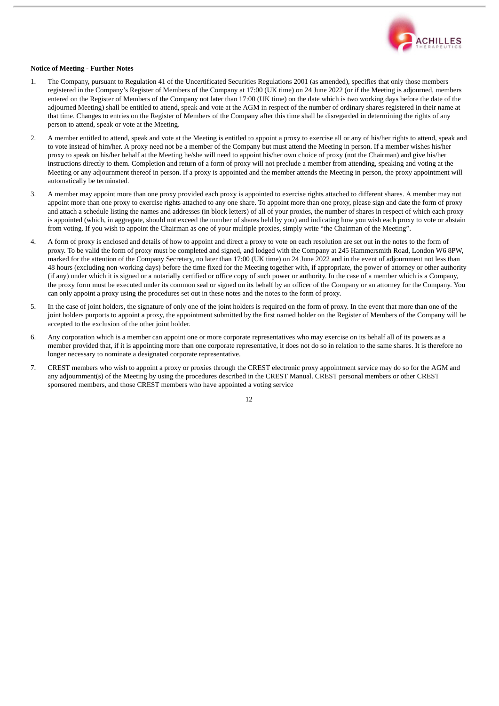

## **Notice of Meeting - Further Notes**

- 1. The Company, pursuant to Regulation 41 of the Uncertificated Securities Regulations 2001 (as amended), specifies that only those members registered in the Company's Register of Members of the Company at 17:00 (UK time) on 24 June 2022 (or if the Meeting is adjourned, members entered on the Register of Members of the Company not later than 17:00 (UK time) on the date which is two working days before the date of the adjourned Meeting) shall be entitled to attend, speak and vote at the AGM in respect of the number of ordinary shares registered in their name at that time. Changes to entries on the Register of Members of the Company after this time shall be disregarded in determining the rights of any person to attend, speak or vote at the Meeting.
- 2. A member entitled to attend, speak and vote at the Meeting is entitled to appoint a proxy to exercise all or any of his/her rights to attend, speak and to vote instead of him/her. A proxy need not be a member of the Company but must attend the Meeting in person. If a member wishes his/her proxy to speak on his/her behalf at the Meeting he/she will need to appoint his/her own choice of proxy (not the Chairman) and give his/her instructions directly to them. Completion and return of a form of proxy will not preclude a member from attending, speaking and voting at the Meeting or any adjournment thereof in person. If a proxy is appointed and the member attends the Meeting in person, the proxy appointment will automatically be terminated.
- 3. A member may appoint more than one proxy provided each proxy is appointed to exercise rights attached to different shares. A member may not appoint more than one proxy to exercise rights attached to any one share. To appoint more than one proxy, please sign and date the form of proxy and attach a schedule listing the names and addresses (in block letters) of all of your proxies, the number of shares in respect of which each proxy is appointed (which, in aggregate, should not exceed the number of shares held by you) and indicating how you wish each proxy to vote or abstain from voting. If you wish to appoint the Chairman as one of your multiple proxies, simply write "the Chairman of the Meeting".
- 4. A form of proxy is enclosed and details of how to appoint and direct a proxy to vote on each resolution are set out in the notes to the form of proxy. To be valid the form of proxy must be completed and signed, and lodged with the Company at 245 Hammersmith Road, London W6 8PW, marked for the attention of the Company Secretary, no later than 17:00 (UK time) on 24 June 2022 and in the event of adjournment not less than 48 hours (excluding non-working days) before the time fixed for the Meeting together with, if appropriate, the power of attorney or other authority (if any) under which it is signed or a notarially certified or office copy of such power or authority. In the case of a member which is a Company, the proxy form must be executed under its common seal or signed on its behalf by an officer of the Company or an attorney for the Company. You can only appoint a proxy using the procedures set out in these notes and the notes to the form of proxy.
- 5. In the case of joint holders, the signature of only one of the joint holders is required on the form of proxy. In the event that more than one of the joint holders purports to appoint a proxy, the appointment submitted by the first named holder on the Register of Members of the Company will be accepted to the exclusion of the other joint holder.
- 6. Any corporation which is a member can appoint one or more corporate representatives who may exercise on its behalf all of its powers as a member provided that, if it is appointing more than one corporate representative, it does not do so in relation to the same shares. It is therefore no longer necessary to nominate a designated corporate representative.
- 7. CREST members who wish to appoint a proxy or proxies through the CREST electronic proxy appointment service may do so for the AGM and any adjournment(s) of the Meeting by using the procedures described in the CREST Manual. CREST personal members or other CREST sponsored members, and those CREST members who have appointed a voting service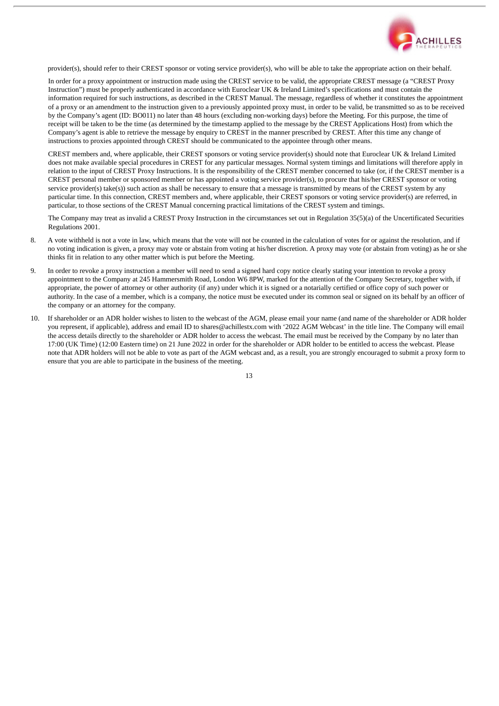

provider(s), should refer to their CREST sponsor or voting service provider(s), who will be able to take the appropriate action on their behalf.

In order for a proxy appointment or instruction made using the CREST service to be valid, the appropriate CREST message (a "CREST Proxy Instruction") must be properly authenticated in accordance with Euroclear UK & Ireland Limited's specifications and must contain the information required for such instructions, as described in the CREST Manual. The message, regardless of whether it constitutes the appointment of a proxy or an amendment to the instruction given to a previously appointed proxy must, in order to be valid, be transmitted so as to be received by the Company's agent (ID: BO011) no later than 48 hours (excluding non-working days) before the Meeting. For this purpose, the time of receipt will be taken to be the time (as determined by the timestamp applied to the message by the CREST Applications Host) from which the Company's agent is able to retrieve the message by enquiry to CREST in the manner prescribed by CREST. After this time any change of instructions to proxies appointed through CREST should be communicated to the appointee through other means.

CREST members and, where applicable, their CREST sponsors or voting service provider(s) should note that Euroclear UK & Ireland Limited does not make available special procedures in CREST for any particular messages. Normal system timings and limitations will therefore apply in relation to the input of CREST Proxy Instructions. It is the responsibility of the CREST member concerned to take (or, if the CREST member is a CREST personal member or sponsored member or has appointed a voting service provider(s), to procure that his/her CREST sponsor or voting service provider(s) take(s)) such action as shall be necessary to ensure that a message is transmitted by means of the CREST system by any particular time. In this connection, CREST members and, where applicable, their CREST sponsors or voting service provider(s) are referred, in particular, to those sections of the CREST Manual concerning practical limitations of the CREST system and timings.

The Company may treat as invalid a CREST Proxy Instruction in the circumstances set out in Regulation 35(5)(a) of the Uncertificated Securities Regulations 2001.

- 8. A vote withheld is not a vote in law, which means that the vote will not be counted in the calculation of votes for or against the resolution, and if no voting indication is given, a proxy may vote or abstain from voting at his/her discretion. A proxy may vote (or abstain from voting) as he or she thinks fit in relation to any other matter which is put before the Meeting.
- 9. In order to revoke a proxy instruction a member will need to send a signed hard copy notice clearly stating your intention to revoke a proxy appointment to the Company at 245 Hammersmith Road, London W6 8PW, marked for the attention of the Company Secretary, together with, if appropriate, the power of attorney or other authority (if any) under which it is signed or a notarially certified or office copy of such power or authority. In the case of a member, which is a company, the notice must be executed under its common seal or signed on its behalf by an officer of the company or an attorney for the company.
- 10. If shareholder or an ADR holder wishes to listen to the webcast of the AGM, please email your name (and name of the shareholder or ADR holder you represent, if applicable), address and email ID to shares@achillestx.com with '2022 AGM Webcast' in the title line. The Company will email the access details directly to the shareholder or ADR holder to access the webcast. The email must be received by the Company by no later than 17:00 (UK Time) (12:00 Eastern time) on 21 June 2022 in order for the shareholder or ADR holder to be entitled to access the webcast. Please note that ADR holders will not be able to vote as part of the AGM webcast and, as a result, you are strongly encouraged to submit a proxy form to ensure that you are able to participate in the business of the meeting.

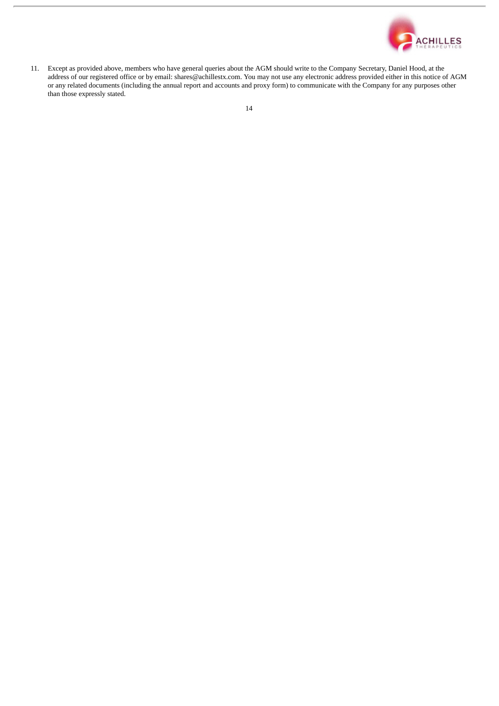

11. Except as provided above, members who have general queries about the AGM should write to the Company Secretary, Daniel Hood, at the address of our registered office or by email: shares@achillestx.com. You may not use any electronic address provided either in this notice of AGM or any related documents (including the annual report and accounts and proxy form) to communicate with the Company for any purposes other than those expressly stated.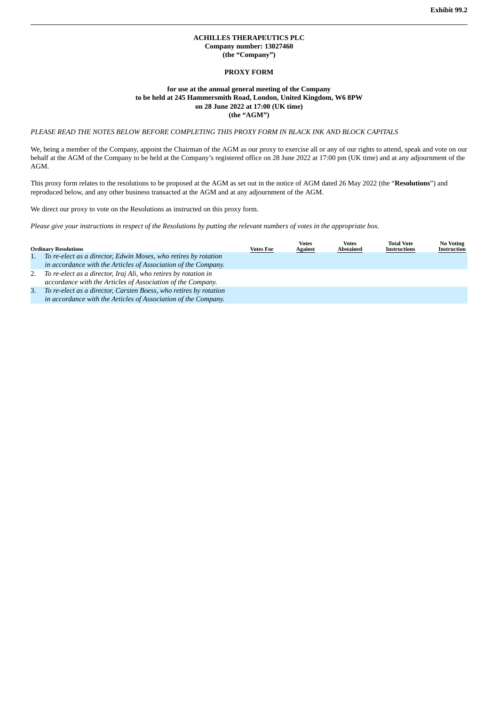## **ACHILLES THERAPEUTICS PLC Company number: 13027460 (the "Company")**

## **PROXY FORM**

## **for use at the annual general meeting of the Company to be held at 245 Hammersmith Road, London, United Kingdom, W6 8PW on 28 June 2022 at 17:00 (UK time) (the "AGM")**

<span id="page-18-0"></span>*PLEASE READ THE NOTES BELOW BEFORE COMPLETING THIS PROXY FORM IN BLACK INK AND BLOCK CAPITALS*

We, being a member of the Company, appoint the Chairman of the AGM as our proxy to exercise all or any of our rights to attend, speak and vote on our behalf at the AGM of the Company to be held at the Company's registered office on 28 June 2022 at 17:00 pm (UK time) and at any adjournment of the AGM.

This proxy form relates to the resolutions to be proposed at the AGM as set out in the notice of AGM dated 26 May 2022 (the "**Resolutions**") and reproduced below, and any other business transacted at the AGM and at any adjournment of the AGM.

We direct our proxy to vote on the Resolutions as instructed on this proxy form.

Please give your instructions in respect of the Resolutions by putting the relevant numbers of votes in the appropriate box.

|    | <b>Ordinary Resolutions</b>                                                                                                         | <b>Votes For</b> | <b>Votes</b><br><b>Against</b> | <b>Votes</b><br><b>Abstained</b> | <b>Total Vote</b><br><b>Instructions</b> | <b>No Voting</b><br>Instruction |
|----|-------------------------------------------------------------------------------------------------------------------------------------|------------------|--------------------------------|----------------------------------|------------------------------------------|---------------------------------|
| 1. | To re-elect as a director, Edwin Moses, who retires by rotation<br>in accordance with the Articles of Association of the Company.   |                  |                                |                                  |                                          |                                 |
| 2. | To re-elect as a director, Iraj Ali, who retires by rotation in<br>accordance with the Articles of Association of the Company.      |                  |                                |                                  |                                          |                                 |
| 3. | To re-elect as a director, Carsten Boess, who retires by rotation<br>in accordance with the Articles of Association of the Company. |                  |                                |                                  |                                          |                                 |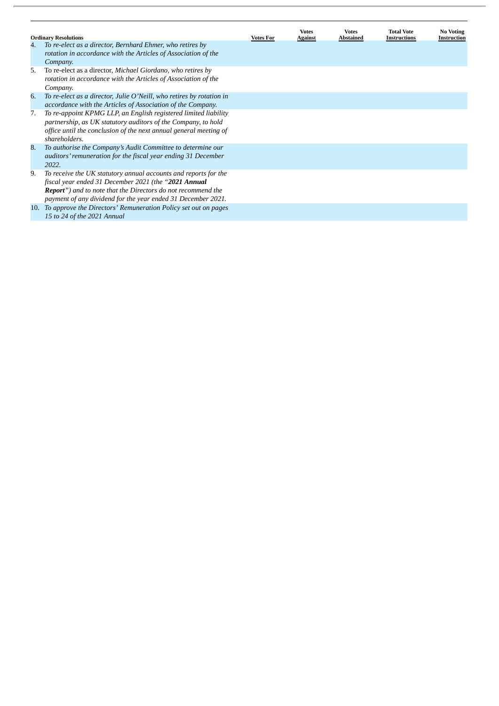|     | <b>Ordinary Resolutions</b>                                                                                                                                                                                                                                     | <b>Votes For</b> | <b>Votes</b><br><b>Against</b> | <b>Votes</b><br><b>Abstained</b> | <b>Total Vote</b><br><b>Instructions</b> | <b>No Voting</b><br>Instruction |
|-----|-----------------------------------------------------------------------------------------------------------------------------------------------------------------------------------------------------------------------------------------------------------------|------------------|--------------------------------|----------------------------------|------------------------------------------|---------------------------------|
| 4.  | To re-elect as a director, Bernhard Ehmer, who retires by<br>rotation in accordance with the Articles of Association of the<br>Company.                                                                                                                         |                  |                                |                                  |                                          |                                 |
| .5. | To re-elect as a director, Michael Giordano, who retires by<br>rotation in accordance with the Articles of Association of the<br>Company.                                                                                                                       |                  |                                |                                  |                                          |                                 |
| 6.  | To re-elect as a director, Julie O'Neill, who retires by rotation in<br>accordance with the Articles of Association of the Company.                                                                                                                             |                  |                                |                                  |                                          |                                 |
| 7.  | To re-appoint KPMG LLP, an English registered limited liability<br>partnership, as UK statutory auditors of the Company, to hold<br>office until the conclusion of the next annual general meeting of<br>shareholders.                                          |                  |                                |                                  |                                          |                                 |
| 8.  | To authorise the Company's Audit Committee to determine our<br>auditors' remuneration for the fiscal year ending 31 December<br>2022.                                                                                                                           |                  |                                |                                  |                                          |                                 |
| 9.  | To receive the UK statutory annual accounts and reports for the<br>fiscal year ended 31 December 2021 (the "2021 Annual<br><b>Report</b> ") and to note that the Directors do not recommend the<br>payment of any dividend for the year ended 31 December 2021. |                  |                                |                                  |                                          |                                 |
| 10. | To approve the Directors' Remuneration Policy set out on pages<br>15 to 24 of the 2021 Annual                                                                                                                                                                   |                  |                                |                                  |                                          |                                 |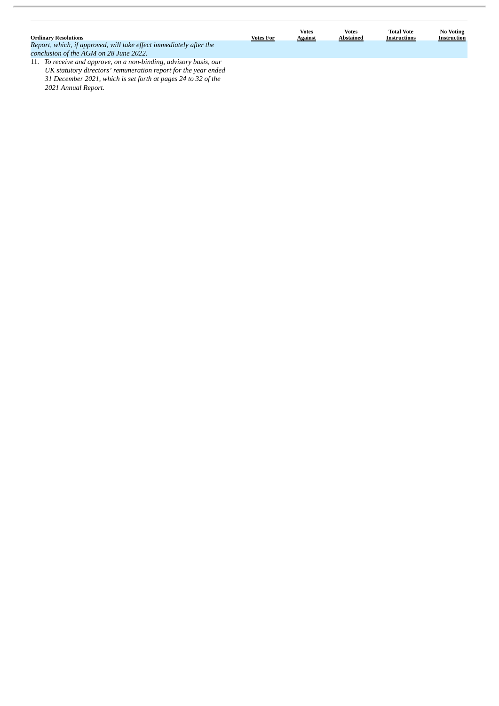| <b>Ordinary Resolutions</b><br>Report, which, if approved, will take effect immediately after the<br>conclusion of the AGM on 28 June 2022.                                                          | <b>Votes For</b> | <b>Votes</b><br><b>Against</b> | <b>Votes</b><br><b>Abstained</b> | <b>Total Vote</b><br><b>Instructions</b> | <b>No Voting</b><br>Instruction |
|------------------------------------------------------------------------------------------------------------------------------------------------------------------------------------------------------|------------------|--------------------------------|----------------------------------|------------------------------------------|---------------------------------|
| 11. To receive and approve, on a non-binding, advisory basis, our<br>UK statutory directors' remuneration report for the year ended<br>31 December 2021, which is set forth at pages 24 to 32 of the |                  |                                |                                  |                                          |                                 |

*2 0 2 1 A n n u a l R ep o r t.*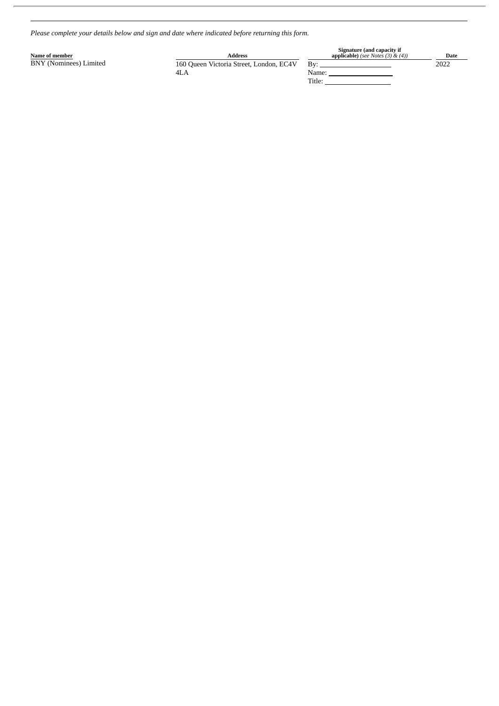*Please complete your details below and sign and date where indicated before returning this form.*

| Name of member         | <b>Address</b>                          | Signature (and capacity if<br><b>applicable</b> ) (see Notes $(3)$ & $(4)$ ) | Date |
|------------------------|-----------------------------------------|------------------------------------------------------------------------------|------|
| BNY (Nominees) Limited | 160 Queen Victoria Street, London, EC4V | Bv:                                                                          | 2022 |
|                        | 4LA                                     | Name:                                                                        |      |
|                        |                                         | Title:                                                                       |      |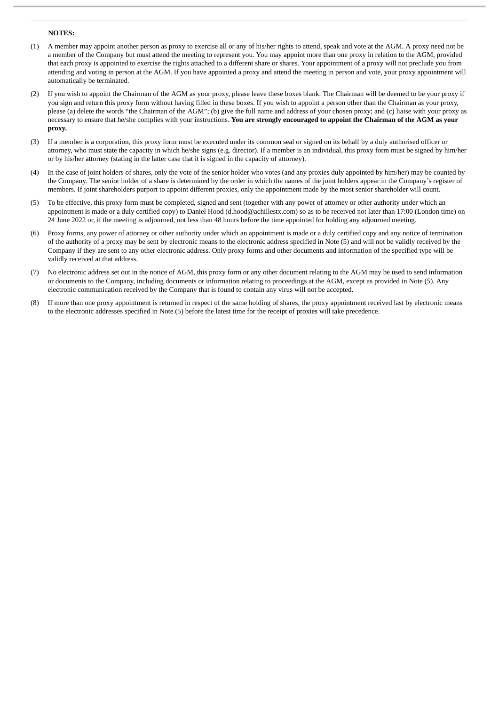## **NOTES:**

- (1) A member may appoint another person as proxy to exercise all or any of his/her rights to attend, speak and vote at the AGM. A proxy need not be a member of the Company but must attend the meeting to represent you. You may appoint more than one proxy in relation to the AGM, provided that each proxy is appointed to exercise the rights attached to a different share or shares. Your appointment of a proxy will not preclude you from attending and voting in person at the AGM. If you have appointed a proxy and attend the meeting in person and vote, your proxy appointment will automatically be terminated.
- (2) If you wish to appoint the Chairman of the AGM as your proxy, please leave these boxes blank. The Chairman will be deemed to be your proxy if you sign and return this proxy form without having filled in these boxes. If you wish to appoint a person other than the Chairman as your proxy, please (a) delete the words "the Chairman of the AGM"; (b) give the full name and address of your chosen proxy; and (c) liaise with your proxy as necessary to ensure that he/she complies with your instructions. You are strongly encouraged to appoint the Chairman of the AGM as your **proxy.**
- (3) If a member is a corporation, this proxy form must be executed under its common seal or signed on its behalf by a duly authorised officer or attorney, who must state the capacity in which he/she signs (e.g. director). If a member is an individual, this proxy form must be signed by him/her or by his/her attorney (stating in the latter case that it is signed in the capacity of attorney).
- (4) In the case of joint holders of shares, only the vote of the senior holder who votes (and any proxies duly appointed by him/her) may be counted by the Company. The senior holder of a share is determined by the order in which the names of the joint holders appear in the Company's register of members. If joint shareholders purport to appoint different proxies, only the appointment made by the most senior shareholder will count.
- (5) To be effective, this proxy form must be completed, signed and sent (together with any power of attorney or other authority under which an appointment is made or a duly certified copy) to Daniel Hood (d.hood@achillestx.com) so as to be received not later than 17:00 (London time) on 24 June 2022 or, if the meeting is adjourned, not less than 48 hours before the time appointed for holding any adjourned meeting.
- (6) Proxy forms, any power of attorney or other authority under which an appointment is made or a duly certified copy and any notice of termination of the authority of a proxy may be sent by electronic means to the electronic address specified in Note (5) and will not be validly received by the Company if they are sent to any other electronic address. Only proxy forms and other documents and information of the specified type will be validly received at that address.
- (7) No electronic address set out in the notice of AGM, this proxy form or any other document relating to the AGM may be used to send information or documents to the Company, including documents or information relating to proceedings at the AGM, except as provided in Note (5). Any electronic communication received by the Company that is found to contain any virus will not be accepted.
- (8) If more than one proxy appointment is returned in respect of the same holding of shares, the proxy appointment received last by electronic means to the electronic addresses specified in Note (5) before the latest time for the receipt of proxies will take precedence.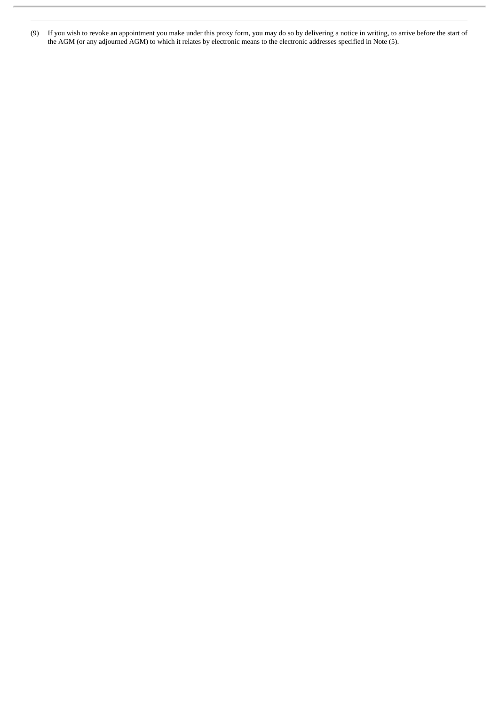(9) If you wish to revoke an appointment you make under this proxy form, you may do so by delivering a notice in writing, to arrive before the start of the AGM (or any adjourned AGM) to which it relates by electronic means to the electronic addresses specified in Note (5).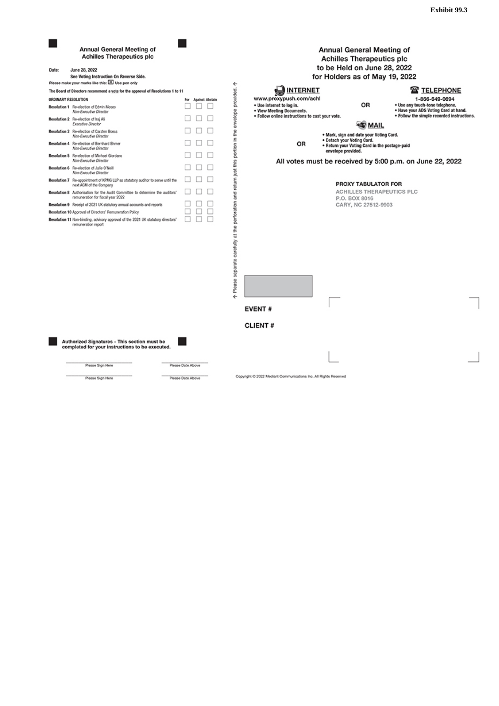|                            | Annual General Meeting of<br><b>Achilles Therapeutics plc</b>                                                      |                   |                        |                                                                                                     |                                                                                                           | Annual General Meeting of<br><b>Achilles Therapeutics plc</b><br>to be Held on June 28, 2022 |                                                                                                                       |  |
|----------------------------|--------------------------------------------------------------------------------------------------------------------|-------------------|------------------------|-----------------------------------------------------------------------------------------------------|-----------------------------------------------------------------------------------------------------------|----------------------------------------------------------------------------------------------|-----------------------------------------------------------------------------------------------------------------------|--|
| Date:                      | June 28, 2022<br>See Voting Instruction On Reverse Side.                                                           |                   |                        |                                                                                                     |                                                                                                           | for Holders as of May 19, 2022                                                               |                                                                                                                       |  |
|                            | Please make your marks like this: E Use pen only                                                                   |                   |                        | ←                                                                                                   |                                                                                                           |                                                                                              |                                                                                                                       |  |
|                            | The Board of Directors recommend a vote for the approval of Resolutions 1 to 11                                    |                   |                        |                                                                                                     | <b>INTERNET</b>                                                                                           |                                                                                              | <b>E</b> TELEPHONE                                                                                                    |  |
| <b>ORDINARY RESOLUTION</b> |                                                                                                                    | For               | <b>Against Abstain</b> |                                                                                                     | www.proxypush.com/achl                                                                                    | OR                                                                                           | 1-866-649-0694                                                                                                        |  |
|                            | Resolution 1 Re-election of Edwin Moses<br>Non-Executive Director                                                  |                   |                        |                                                                                                     | • Use internet to log in.<br>• View Meeting Documents.<br>. Follow online instructions to cast your vote. |                                                                                              | . Use any touch-tone telephone.<br>. Have your ADS Voting Card at hand.<br>. Follow the simple recorded instructions. |  |
|                            | Resolution 2 Re-election of Iraj Ali<br><b>Executive Director</b>                                                  |                   |                        |                                                                                                     |                                                                                                           | <b>SE</b> MAIL                                                                               |                                                                                                                       |  |
|                            | Resolution 3 Re-election of Carsten Boess<br>Non-Executive Director                                                |                   |                        |                                                                                                     |                                                                                                           | . Mark, sign and date your Voting Card.                                                      |                                                                                                                       |  |
|                            | Resolution 4 Re-election of Bernhard Ehmer<br>Non-Executive Director                                               |                   |                        |                                                                                                     | OR<br>envelope provided.                                                                                  | . Detach your Voting Card.<br>• Return your Voting Card in the postage-paid                  |                                                                                                                       |  |
|                            | Resolution 5 Re-election of Michael Giordano<br>Non-Executive Director                                             |                   |                        |                                                                                                     |                                                                                                           |                                                                                              | All votes must be received by 5:00 p.m. on June 22, 2022                                                              |  |
|                            | Resolution 6 Re-election of Julie O'Neill<br>Non-Executive Director                                                |                   |                        |                                                                                                     |                                                                                                           |                                                                                              |                                                                                                                       |  |
|                            | Resolution 7 Re-appointment of KPMG LLP as statutory auditor to serve until the<br>next AGM of the Company         |                   |                        |                                                                                                     |                                                                                                           | PROXY TABULATOR FOR                                                                          |                                                                                                                       |  |
|                            | Resolution 8 Authorisation for the Audit Committee to determine the auditors'<br>remuneration for fiscal year 2022 |                   |                        |                                                                                                     |                                                                                                           | ACHILLES THERAPEUTICS PLC<br>P.O. BOX 8016                                                   |                                                                                                                       |  |
|                            | Resolution 9 Receipt of 2021 UK statutory annual accounts and reports                                              |                   |                        |                                                                                                     |                                                                                                           | CARY, NC 27512-9903                                                                          |                                                                                                                       |  |
|                            | Resolution 10 Approval of Directors' Remuneration Policy                                                           |                   |                        |                                                                                                     |                                                                                                           |                                                                                              |                                                                                                                       |  |
|                            | Resolution 11 Non-binding, advisory approval of the 2021 UK statutory directors'<br>remuneration report            |                   |                        | Please separate carefully at the perforation and return just this portion in the envelope provided. |                                                                                                           |                                                                                              |                                                                                                                       |  |
|                            |                                                                                                                    |                   |                        | $\leftarrow$                                                                                        |                                                                                                           |                                                                                              |                                                                                                                       |  |
|                            |                                                                                                                    |                   |                        |                                                                                                     | <b>EVENT#</b>                                                                                             |                                                                                              |                                                                                                                       |  |
|                            |                                                                                                                    |                   |                        |                                                                                                     | <b>CLIENT#</b>                                                                                            |                                                                                              |                                                                                                                       |  |
|                            | Authorized Signatures - This section must be<br>completed for your instructions to be executed.                    |                   |                        |                                                                                                     |                                                                                                           |                                                                                              |                                                                                                                       |  |
|                            | Please Sign Here                                                                                                   | Please Date Above |                        |                                                                                                     |                                                                                                           |                                                                                              |                                                                                                                       |  |
|                            | Please Sign Here                                                                                                   | Please Date Above |                        |                                                                                                     | Copyright @ 2022 Mediant Communications Inc. All Rights Reserved                                          |                                                                                              |                                                                                                                       |  |

<span id="page-24-0"></span> $\blacksquare$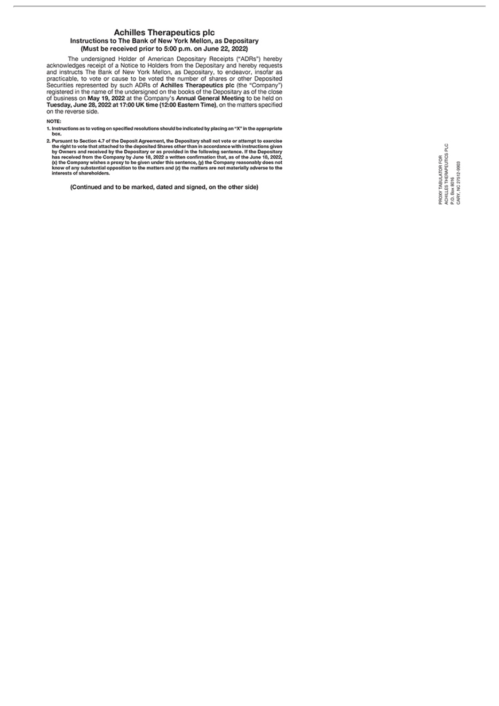#### **Achilles Therapeutics plc** Instructions to The Bank of New York Mellon, as Depositary (Must be received prior to 5:00 p.m. on June 22, 2022)

The undersigned Holder of American Depositary Receipts ("ADRs") hereby acknowledges receipt of a Notice to Holders from the Depositary and hereby requests acknowledges receipt of a Notice to Holders from the Depositary and hereby requests<br>and instructs The Bank of New York Mellon, as Depositary, to endeavor, insofar as<br>practicable, to vote or cause to be voted the number of on the reverse side.

NOTE:

- 1. Instructions as to voting on specified resolutions should be indicated by placing an "X" in the appropriate<br>box.
- box.<br>
In the Societies of Society of the Deposit Agreement, the Depositary shall not vote or attempt to exercise<br>
the right to vote that attached to the deposited Shares other than in accordance with instructions given<br>
b

(Continued and to be marked, dated and signed, on the other side)

PROXY TABULATOR FOR<br>ACHILLES THERAPEUTICS PLC<br>P.O. Box 8016<br>CARY, NC 27512-9003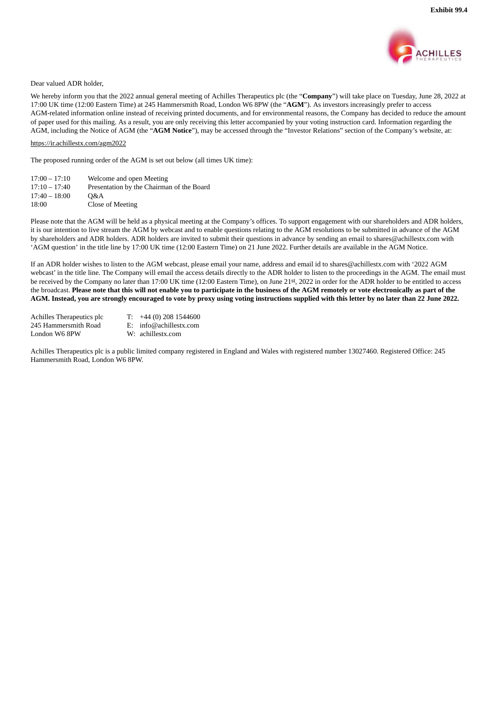

#### <span id="page-26-0"></span>Dear valued ADR holder,

We hereby inform you that the 2022 annual general meeting of Achilles Therapeutics plc (the "**Company**") will take place on Tuesday, June 28, 2022 at 17:00 UK time (12:00 Eastern Time) at 245 Hammersmith Road, London W6 8PW (the "**AGM**"). As investors increasingly prefer to access AGM-related information online instead of receiving printed documents, and for environmental reasons, the Company has decided to reduce the amount of paper used for this mailing. As a result, you are only receiving this letter accompanied by your voting instruction card. Information regarding the AGM, including the Notice of AGM (the "**AGM Notice**"), may be accessed through the "Investor Relations" section of the Company's website, at:

## https://ir.achillestx.com/agm2022

The proposed running order of the AGM is set out below (all times UK time):

| $17:00 - 17:10$ | Welcome and open Meeting                  |
|-----------------|-------------------------------------------|
| $17:10 - 17:40$ | Presentation by the Chairman of the Board |
| $17:40 - 18:00$ | O&A                                       |
| 18:00           | Close of Meeting                          |
|                 |                                           |

Please note that the AGM will be held as a physical meeting at the Company's offices. To support engagement with our shareholders and ADR holders, it is our intention to live stream the AGM by webcast and to enable questions relating to the AGM resolutions to be submitted in advance of the AGM by shareholders and ADR holders. ADR holders are invited to submit their questions in advance by sending an email to shares@achillestx.com with 'AGM question' in the title line by 17:00 UK time (12:00 Eastern Time) on 21 June 2022. Further details are available in the AGM Notice.

If an ADR holder wishes to listen to the AGM webcast, please email your name, address and email id to shares@achillestx.com with '2022 AGM webcast' in the title line. The Company will email the access details directly to the ADR holder to listen to the proceedings in the AGM. The email must be received by the Company no later than 17:00 UK time (12:00 Eastern Time), on June 21st, 2022 in order for the ADR holder to be entitled to access the broadcast. Please note that this will not enable you to participate in the business of the AGM remotely or vote electronically as part of the AGM. Instead, you are strongly encouraged to vote by proxy using voting instructions supplied with this letter by no later than 22 June 2022.

| Achilles Therapeutics plc | $T: +44(0)$ 208 1544600 |
|---------------------------|-------------------------|
| 245 Hammersmith Road      | E: info@achillestx.com  |
| London W6 8PW             | W: achillestx.com       |

Achilles Therapeutics plc is a public limited company registered in England and Wales with registered number 13027460. Registered Office: 245 Hammersmith Road, London W6 8PW.